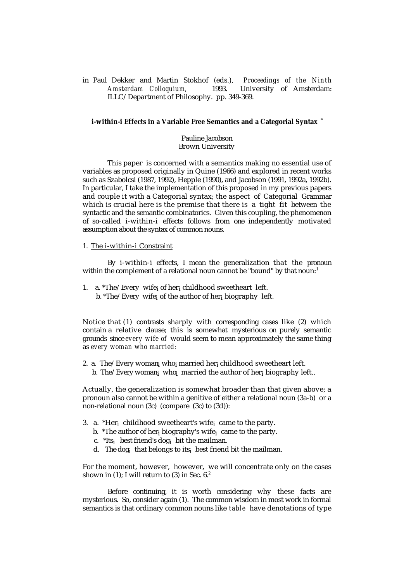in Paul Dekker and Martin Stokhof (eds.), *Proceedings of the Ninth* 1993. University of Amsterdam: ILLC/Department of Philosophy. pp. 349-369.

#### **i-within-i Effects in a Variable Free Semantics and a Categorial Syntax** \*

### Pauline Jacobson Brown University

This paper is concerned with a semantics making no essential use of variables as proposed originally in Quine (1966) and explored in recent works such as Szabolcsi (1987, 1992), Hepple (1990), and Jacobson (1991, 1992a, 1992b). In particular, I take the implementation of this proposed in my previous papers and couple it with a Categorial syntax; the aspect of Categorial Grammar which is crucial here is the premise that there is a tight fit between the syntactic and the semantic combinatorics. Given this coupling, the phenomenon of so-called i-within-i effects follows from one independently motivated assumption about the syntax of common nouns.

### 1. The i-within-i Constraint

By i-within-i effects, I mean the generalization that the pronoun within the complement of a relational noun cannot be "bound" by that noun:<sup>1</sup>

- 1. a. \*The/Every wife<sub>i</sub> of her<sub>i</sub> childhood sweetheart left.
- b. \*The/Every wife<sub>i</sub> of the author of her<sub>i</sub> biography left.

Notice that (1) contrasts sharply with corresponding cases like (2) which contain a relative clause; this is somewhat mysterious on purely semantic grounds since *every wife of* would seem to mean approximately the same thing as *every woman who married:*

2. a. The/Every woman<sub>i</sub> who<sub>i</sub> married her<sub>i</sub> childhood sweetheart left. b. The/Every woman<sub>i</sub> who<sub>i</sub> married the author of her<sub>i</sub> biography left..

Actually, the generalization is somewhat broader than that given above; a pronoun also cannot be within a genitive of either a relational noun (3a-b) or a non-relational noun (3c) (compare (3c) to (3d)):

- 3. a. \*Her<sub>i</sub> childhood sweetheart's wife<sub>i</sub> came to the party.
- b. \*The author of her<sub>i</sub> biography's wife<sub>i</sub> came to the party.
- c. \*Its<sub>i</sub> best friend's dog<sub>i</sub> bit the mailman.
- d. The dog<sub>i</sub>that belongs to its<sub>i</sub>best friend bit the mailman.

For the moment, however, however, we will concentrate only on the cases shown in (1); I will return to (3) in Sec.  $6<sup>2</sup>$ .

Before continuing, it is worth considering why these facts are mysterious. So, consider again (1). The common wisdom in most work in formal semantics is that ordinary common nouns like *table* have denotations of type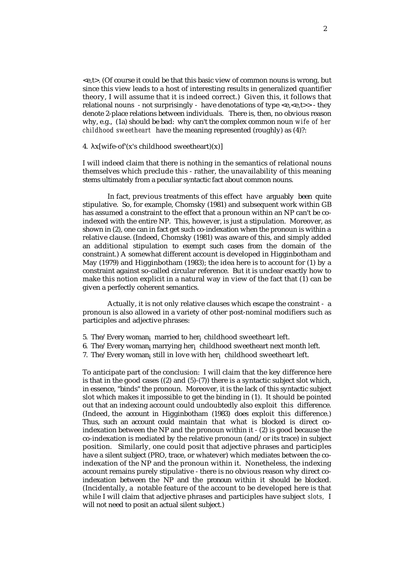<e,t>. (Of course it could be that this basic view of common nouns is wrong, but since this view leads to a host of interesting results in generalized quantifier theory, I will assume that it is indeed correct.) Given this, it follows that relational nouns - not surprisingly - have denotations of type  $\langle e, \langle e, t \rangle \rangle$  - they denote 2-place relations between individuals. There is, then, no obvious reason why, e.g., (1a) should be bad: why can't the complex common noun *wife of her childhood sweetheart* have the meaning represented (roughly) as (4)?:

4.  $x[write-of'(x's childhood sweetheart)(x)]$ 

I will indeed claim that there is nothing in the semantics of relational nouns themselves which preclude this - rather, the unavailability of this meaning stems ultimately from a peculiar syntactic fact about common nouns.

In fact, previous treatments of this effect have arguably been quite stipulative. So, for example, Chomsky (1981) and subsequent work within GB has assumed a constraint to the effect that a pronoun within an NP can't be coindexed with the entire NP. This, however, is just a stipulation. Moreover, as shown in (2), one can in fact get such co-indexation when the pronoun is within a relative clause. (Indeed, Chomsky (1981) was aware of this, and simply added an additional stipulation to exempt such cases from the domain of the constraint.) A somewhat different account is developed in Higginbotham and May (1979) and Higginbotham (1983); the idea here is to account for (1) by a constraint against so-called circular reference. But it is unclear exactly how to make this notion explicit in a natural way in view of the fact that (1) can be given a perfectly coherent semantics.

Actually, it is not only relative clauses which escape the constraint - a pronoun is also allowed in a variety of other post-nominal modifiers such as participles and adjective phrases:

- 5. The/Every woman<sub>i</sub> married to her<sub>i</sub> childhood sweetheart left.
- 6. The/Every woman<sub>i</sub> marrying her $_{\rm i}\,$  childhood sweetheart next month left.
- 7. The/Every woman<sub>i</sub> still in love with her $_{\rm i}$  childhood sweetheart left.

To anticipate part of the conclusion: I will claim that the key difference here is that in the good cases  $((2)$  and  $(5)-(7))$  there is a syntactic subject slot which, in essence, "binds" the pronoun. Moreover, it is the lack of this syntactic subject slot which makes it impossible to get the binding in (1). It should be pointed out that an indexing account could undoubtedly also exploit this difference. (Indeed, the account in Higginbotham (1983) does exploit this difference.) Thus, such an account could maintain that what is blocked is direct coindexation between the NP and the pronoun within it - (2) is good because the co-indexation is mediated by the relative pronoun (and/or its trace) in subject position. Similarly, one could posit that adjective phrases and participles have a silent subject (PRO, trace, or whatever) which mediates between the coindexation of the NP and the pronoun within it. Nonetheless, the indexing account remains purely stipulative - there is no obvious reason why direct coindexation between the NP and the pronoun within it should be blocked. (Incidentally, a notable feature of the account to be developed here is that while I will claim that adjective phrases and participles have subject *slots,* I will not need to posit an actual silent subject.)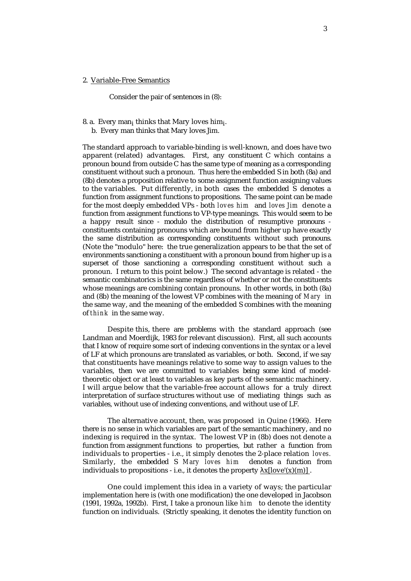# 2. Variable-Free Semantics

Consider the pair of sentences in (8):

8. a. Every man<sub>i</sub> thinks that Mary loves him<sub>i</sub>.

b. Every man thinks that Mary loves Jim.

The standard approach to variable-binding is well-known, and does have two apparent (related) advantages. First, any constituent C which contains a pronoun bound from outside  $\overline{C}$  has the same type of meaning as a corresponding constituent without such a pronoun. Thus here the embedded S in both (8a) and (8b) denotes a proposition relative to some assignment function assigning values to the variables. Put differently, in both cases the embedded S denotes a function from assignment functions to propositions. The same point can be made for the most deeply embedded VPs - both *loves him* and *loves Jim* denote a function from assignment functions to VP-type meanings. This would seem to be a happy result since - modulo the distribution of resumptive pronouns constituents containing pronouns which are bound from higher up have exactly the same distribution as corresponding constituents without such pronouns. (Note the "modulo" here: the true generalization appears to be that the set of environments sanctioning a constituent with a pronoun bound from higher up is a superset of those sanctioning a corresponding constituent without such a pronoun. I return to this point below.) The second advantage is related - the semantic combinatorics is the same regardless of whether or not the constituents whose meanings are combining contain pronouns. In other words, in both (8a) and (8b) the meaning of the lowest VP combines with the meaning of *Mary* in the same way, and the meaning of the embedded S combines with the meaning of *think* in the same way.

Despite this, there are problems with the standard approach (see Landman and Moerdijk, 1983 for relevant discussion). First, all such accounts that I know of require some sort of indexing conventions in the syntax or a level of LF at which pronouns are translated as variables, or both. Second, if we say that constituents have meanings relative to some way to assign values to the variables, then we are committed to variables being some kind of modeltheoretic object or at least to variables as key parts of the semantic machinery. I will argue below that the variable-free account allows for a truly direct interpretation of surface structures without use of mediating things such as variables, without use of indexing conventions, and without use of LF.

The alternative account, then, was proposed in Quine (1966). Here there is no sense in which variables are part of the semantic machinery, and no indexing is required in the syntax. The lowest VP in (8b) does not denote a function from assignment functions to properties, but rather a function from individuals to properties - i.e., it simply denotes the 2-place relation *loves.* Similarly, the embedded S *Mary loves him* denotes a function from individuals to propositions - i.e., it denotes the property  $x[love'(x)(m)]$ .

One could implement this idea in a variety of ways; the particular implementation here is (with one modification) the one developed in Jacobson (1991, 1992a, 1992b). First, I take a pronoun like *him* to denote the identity function on individuals. (Strictly speaking, it denotes the identity function on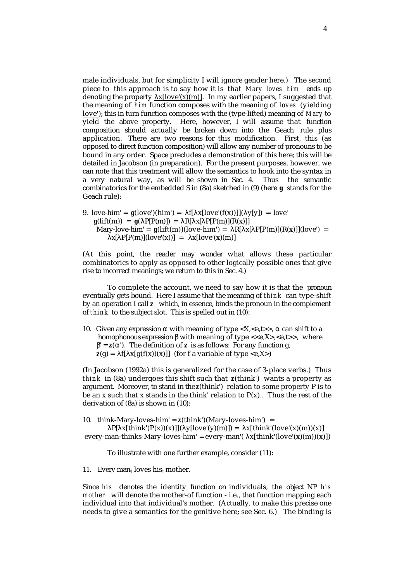male individuals, but for simplicity I will ignore gender here.) The second piece to this approach is to say how it is that *Mary loves him* ends up denoting the property  $\underline{x[love'(x)(m)]}$ . In my earlier papers, I suggested that the meaning of *him* function composes with the meaning of *loves* (yielding love'); this in turn function composes with the (type-lifted) meaning of *Mary* to yield the above property. Here, however, I will assume that function composition should actually be broken down into the Geach rule plus application. There are two reasons for this modification. First, this (as opposed to direct function composition) will allow any number of pronouns to be bound in any order. Space precludes a demonstration of this here; this will be detailed in Jacobson (in preparation). For the present purposes, however, we can note that this treatment will allow the semantics to hook into the syntax in a very natural way, as will be shown in Sec. 4. Thus the semantic combinatorics for the embedded S in (8a) sketched in (9) (here *g* stands for the Geach rule):

9. love-him' = *g*(love')(him') = f[ x[love'(f(x))]]( y[y]) = love'  $g(lift(m)) = g(l)P[P(m)]) = R[x[P(m)](R(x))]$ Mary-love-him' =  $g(lift(m))(love-him') = R[x[P(m)](R(x))](love') =$  $x[ P(P(m)](love'(x))] = x[love'(x)(m)]$ 

(At this point, the reader may wonder what allows these particular combinatorics to apply as opposed to other logically possible ones that give rise to incorrect meanings; we return to this in Sec. 4.)

To complete the account, we need to say how it is that the pronoun eventually gets bound. Here I assume that the meaning of *think* can type-shift by an operation I call *z* which, in essence, binds the pronoun in the complement of *think* to the subject slot. This is spelled out in (10):

10. Given any expression with meaning of type  $\langle X, \langle e,t \rangle \rangle$ , can shift to a homophonous expression with meaning of type  $\langle\langle e,X\rangle,\langle e,t\rangle\rangle$ , where ' = *z*( '). The definition of *z* is as follows: For any function g,  $z(g) = f[x[g(f(x))(x)]]$  (for f a variable of type <e,X>)

(In Jacobson (1992a) this is generalized for the case of 3-place verbs.) Thus *think* in (8a) undergoes this shift such that *z*(think') wants a property as argument. Moreover, to stand in the *z*(think') relation to some property P is to be an x such that x stands in the think' relation to  $P(x)$ .. Thus the rest of the derivation of (8a) is shown in (10):

10. think-Mary-loves-him' =  $z$ (think')(Mary-loves-him') =

P[  $x[think'(P(x))(x)][(y[love'(y)(m)]) = x[think'(love'(x)(m))(x)]$ every-man-thinks-Mary-loves-him' = every-man'( $x[think'(love'(x)(m))(x)])$ 

To illustrate with one further example, consider (11):

11. Every man<sub>i</sub> loves his<sub>i</sub> mother.

Since *his* denotes the identity function on individuals, the object NP *his mother* will denote the mother-of function - i.e., that function mapping each individual into that individual's mother. (Actually, to make this precise one needs to give a semantics for the genitive here; see Sec. 6.) The binding is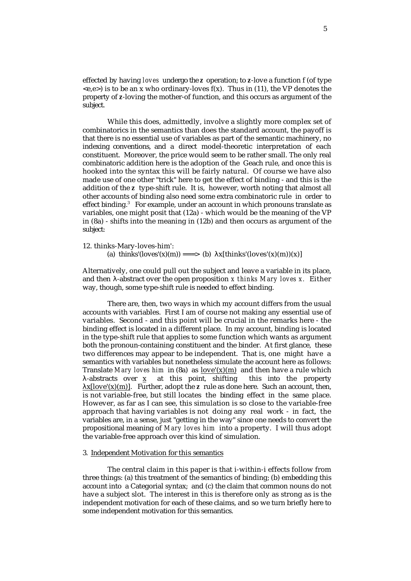effected by having *loves* undergo the *z* operation; to *z*-love a function f (of type  $\langle e,e \rangle$  is to be an x who ordinary-loves f(x). Thus in (11), the VP denotes the property of *z*-loving the mother-of function, and this occurs as argument of the subject.

While this does, admittedly, involve a slightly more complex set of combinatorics in the semantics than does the standard account, the payoff is that there is no essential use of variables as part of the semantic machinery, no indexing conventions, and a direct model-theoretic interpretation of each constituent. Moreover, the price would seem to be rather small. The only real combinatoric addition here is the adoption of the Geach rule, and once this is hooked into the syntax this will be fairly natural. Of course we have also made use of one other "trick" here to get the effect of binding - and this is the addition of the *z* type-shift rule. It is, however, worth noting that almost all other accounts of binding also need some extra combinatoric rule in order to effect binding.<sup>3</sup> For example, under an account in which pronouns translate as variables, one might posit that (12a) - which would be the meaning of the VP in (8a) - shifts into the meaning in (12b) and then occurs as argument of the subject:

#### 12. thinks-Mary-loves-him':

(a) thinks'(loves'(x)(m)) ===> (b) x[thinks'(loves'(x)(m))(x)]

Alternatively, one could pull out the subject and leave a variable in its place, and then -abstract over the open proposition *x thinks Mary loves x.* Either way, though, some type-shift rule is needed to effect binding.

There are, then, two ways in which my account differs from the usual accounts with variables. First I am of course not making any essential use of variables. Second - and this point will be crucial in the remarks here - the binding effect is located in a different place. In my account, binding is located in the type-shift rule that applies to some function which wants as argument both the pronoun-containing constituent and the binder. At first glance, these two differences may appear to be independent. That is, one might have a semantics with variables but nonetheless simulate the account here as follows: Translate *Mary loves him* in  $(8a)$  as  $love'(x)(m)$  and then have a rule which -abstracts over x at this point, shifting this into the property  $\underline{x[love'(x)(m)]}$ . Further, adopt the *z* rule as done here. Such an account, then, is not variable-free, but still locates the binding effect in the same place. However, as far as I can see, this simulation is so close to the variable-free approach that having variables is not doing any real work - in fact, the variables are, in a sense, just "getting in the way" since one needs to convert the propositional meaning of *Mary loves him* into a property. I will thus adopt the variable-free approach over this kind of simulation.

#### 3. Independent Motivation for this semantics

The central claim in this paper is that i-within-i effects follow from three things: (a) this treatment of the semantics of binding; (b) embedding this account into a Categorial syntax; and (c) the claim that common nouns do not have a subject slot. The interest in this is therefore only as strong as is the independent motivation for each of these claims, and so we turn briefly here to some independent motivation for this semantics.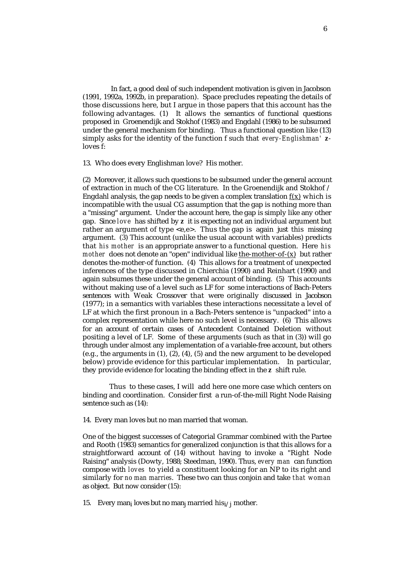In fact, a good deal of such independent motivation is given in Jacobson (1991, 1992a, 1992b, in preparation). Space precludes repeating the details of those discussions here, but I argue in those papers that this account has the following advantages. (1) It allows the semantics of functional questions proposed in Groenendijk and Stokhof (1983) and Engdahl (1986) to be subsumed under the general mechanism for binding. Thus a functional question like (13) simply asks for the identity of the function f such that *every-Englishman' z*loves f:

13. Who does every Englishman love? His mother.

(2) Moreover, it allows such questions to be subsumed under the general account of extraction in much of the CG literature. In the Groenendijk and Stokhof / Engdahl analysis, the gap needs to be given a complex translation  $f(x)$  which is incompatible with the usual CG assumption that the gap is nothing more than a "missing" argument. Under the account here, the gap is simply like any other gap. Since *love* has shifted by *z* it is expecting not an individual argument but rather an argument of type <e,e>. Thus the gap is again just this missing argument. (3) This account (unlike the usual account with variables) predicts that *his mother* is an appropriate answer to a functional question. Here *his mother* does not denote an "open" individual like the-mother-of-(x) but rather denotes the-mother-of function. (4) This allows for a treatment of unexpected inferences of the type discussed in Chierchia (1990) and Reinhart (1990) and again subsumes these under the general account of binding. (5) This accounts without making use of a level such as LF for some interactions of Bach-Peters sentences with Weak Crossover that were originally discussed in Jacobson (1977); in a semantics with variables these interactions necessitate a level of LF at which the first pronoun in a Bach-Peters sentence is "unpacked" into a complex representation while here no such level is necessary. (6) This allows for an account of certain cases of Antecedent Contained Deletion without positing a level of LF. Some of these arguments (such as that in (3)) will go through under almost any implementation of a variable-free account, but others (e.g., the arguments in (1), (2), (4), (5) and the new argument to be developed below) provide evidence for this particular implementation. In particular, they provide evidence for locating the binding effect in the *z* shift rule.

 Thus to these cases, I will add here one more case which centers on binding and coordination. Consider first a run-of-the-mill Right Node Raising sentence such as  $(14)$ :

14. Every man loves but no man married that woman.

One of the biggest successes of Categorial Grammar combined with the Partee and Rooth (1983) semantics for generalized conjunction is that this allows for a straightforward account of (14) without having to invoke a "Right Node Raising" analysis (Dowty, 1988; Steedman, 1990). Thus, *every man* can function compose with *loves* to yield a constituent looking for an NP to its right and similarly for *no man marries*. These two can thus conjoin and take *that woman* as object. But now consider (15):

15. Every man<sub>i</sub> loves but no man<sub>j</sub> married his<sub>i/j</sub> mother.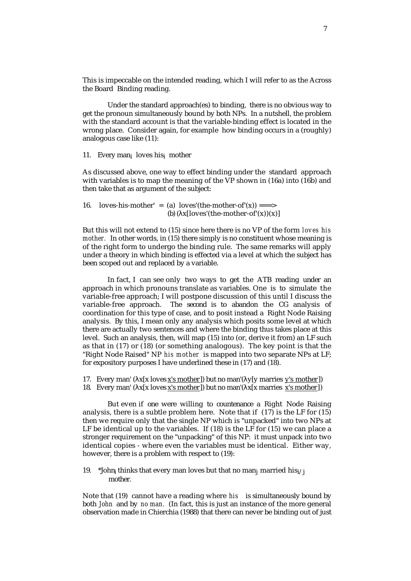This is impeccable on the intended reading, which I will refer to as the Across the Board Binding reading.

Under the standard approach(es) to binding, there is no obvious way to get the pronoun simultaneously bound by both NPs. In a nutshell, the problem with the standard account is that the variable-binding effect is located in the wrong place. Consider again, for example how binding occurs in a (roughly) analogous case like (11):

11. Every man<sub>i</sub> loves his<sub>i</sub> mother

As discussed above, one way to effect binding under the standard approach with variables is to map the meaning of the VP shown in (16a) into (16b) and then take that as argument of the subject:

16. loves-his-mother' = (a) loves'(the-mother-of'(x)) ===> (b)  $(x[lowest'(the-mother-of'(x))(x)]$ 

But this will not extend to (15) since here there is no VP of the form *loves his mother.* In other words, in (15) there simply is no constituent whose meaning is of the right form to undergo the binding rule. The same remarks will apply under a theory in which binding is effected via a level at which the subject has been scoped out and replaced by a variable.

In fact, I can see only two ways to get the ATB reading under an approach in which pronouns translate as variables. One is to simulate the variable-free approach; I will postpone discussion of this until I discuss the variable-free approach. The second is to abandon the CG analysis of coordination for this type of case, and to posit instead a Right Node Raising analysis. By this, I mean only any analysis which posits some level at which there are actually two sentences and where the binding thus takes place at this level. Such an analysis, then, will map (15) into (or, derive it from) an LF such as that in (17) or (18) (or something analogous). The key point is that the "Right Node Raised" NP *his mother* is mapped into two separate NPs at LF; for expository purposes I have underlined these in (17) and (18).

17. Every man' ( $x[x]$  loves  $x$ 's mother ]) but no man' ( $y[y]$  marries  $y$ 's mother ]) 18. Every man' ( $x[x]$  loves  $x$ 's mother ]) but no man' ( $x[x]$  marries  $x$ 's mother ])

But even if one were willing to countenance a Right Node Raising analysis, there is a subtle problem here. Note that if (17) is the LF for (15) then we require only that the single NP which is "unpacked" into two NPs at LF be identical up to the variables. If (18) is the LF for (15) we can place a stronger requirement on the "unpacking" of this NP: it must unpack into two identical copies - where even the variables must be identical. Either way, however, there is a problem with respect to (19):

19. \*John<sub>i</sub> thinks that every man loves but that no man<sub>i</sub> married his<sub>i/i</sub> mother.

Note that (19) cannot have a reading where *his* is simultaneously bound by both *John* and by *no man.* (In fact, this is just an instance of the more general observation made in Chierchia (1988) that there can never be binding out of just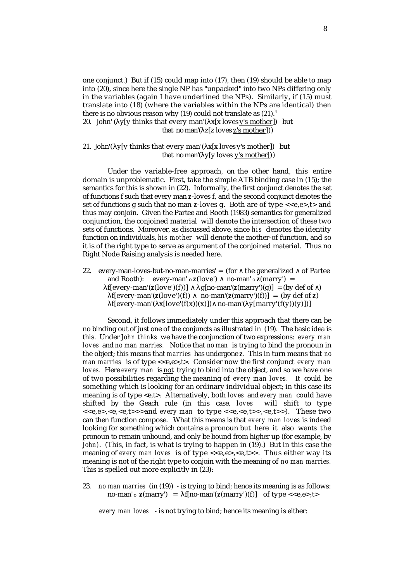one conjunct.) But if (15) could map into (17), then (19) should be able to map into (20), since here the single NP has "unpacked" into two NPs differing only in the variables (again I have underlined the NPs). Similarly, if (15) must translate into (18) (where the variables within the NPs are identical) then there is no obvious reason why  $(19)$  could not translate as  $(21).<sup>4</sup>$ 20. John' ( $y[y]$  thinks that every man' ( $x[x]$  loves y's mother ) but that no man'( z[z loves z's mother ]))

21. John'( $y[y]$  thinks that every man'( $x[x]$  loves  $y$ 's mother  $y$ ) but that no man'( y[y loves y's mother] ))

Under the variable-free approach, on the other hand, this entire domain is unproblematic. First, take the simple ATB binding case in (15); the semantics for this is shown in (22). Informally, the first conjunct denotes the set of functions f such that every man *z*-loves f, and the second conjunct denotes the set of functions g such that no man  $z$ -loves g. Both are of type  $\langle \langle e, e \rangle, t \rangle$  and thus may conjoin. Given the Partee and Rooth (1983) semantics for generalized conjunction, the conjoined material will denote the intersection of these two sets of functions. Moreover, as discussed above, since *his* denotes the identity function on individuals, *his mother* will denote the mother-of function, and so it is of the right type to serve as argument of the conjoined material. Thus no Right Node Raising analysis is needed here.

22. every-man-loves-but-no-man-marries' = (for the generalized ∧ of Partee and Rooth): every-man' o *z*(love') no-man' o *z*(marry') =  $f[every-man'(z(love')(f))]$  g[no-man'( $z(mary')(g)$ ] = (by def of )  $f[every-man'(z(love')(f)) \quad no-man'(z(marry')(f))] = (by def of z)$ f[every-man'( $x[love'(f(x))(x)])$  no-man'( $y[mary'(f(y))(y)])$ ]

Second, it follows immediately under this approach that there can be no binding out of just one of the conjuncts as illustrated in (19). The basic idea is this. Under *John thinks* we have the conjunction of two expressions: *every man loves* and *no man marries.* Notice that *no man* is trying to bind the pronoun in the object; this means that *marries* has undergone *z*. This in turn means that *no man marries is of type <<e,e>,t>.* Consider now the first conjunct *every man loves.* Here *every man* is not trying to bind into the object, and so we have one of two possibilities regarding the meaning of *every man loves.* It could be something which is looking for an ordinary individual object; in this case its meaning is of type <e,t>. Alternatively, both *loves* and *every man* could have shifted by the Geach rule (in this case, *loves* will shift to type shifted by the Geach rule (in this case, loves <<e,e>,<e,<e,t>>>and *every man* to type <<e,<e,t>>,<e,t>>). These two can then function compose. What this means is that *every man loves* is indeed looking for something which contains a pronoun but here it also wants the pronoun to remain unbound, and only be bound from higher up (for example, by *John)*. (This, in fact, is what is trying to happen in (19).) But in this case the meaning of *every man loves* is of type  $\langle e, e \rangle, \langle e, t \rangle$ . Thus either way its meaning is not of the right type to conjoin with the meaning of *no man marries.* This is spelled out more explicitly in (23):

23. *no man marries* (in (19)) - is trying to bind; hence its meaning is as follows: no-man' o  $z$ (marry') = f[no-man'( $z$ (marry')(f)] of type <<e,e>,t>

*every man loves* - is not trying to bind; hence its meaning is either: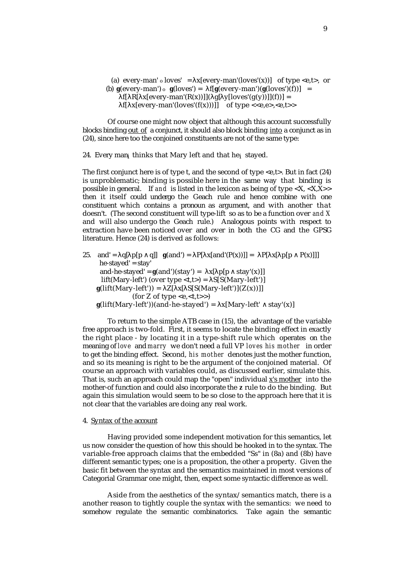(a) every-man'  $\circ$  loves' = x[every-man'(loves'(x))] of type <e,t>, or (b)  $g(every-man') \circ g(loves') = f[g(every-man')(g(loves')(f))] =$ f[ R[  $x[every-man'(R(x))]]$ ] g[  $y[loves'(g(y))]](f)$ ] = f[  $x[every-man'(loves'(f(x)))]$ ] of type <<e,e>,<e,t>>

Of course one might now object that although this account successfully blocks binding out of a conjunct, it should also block binding into a conjunct as in (24), since here too the conjoined constituents are not of the same type:

24. Every man<sub>i</sub> thinks that Mary left and that he<sub>i</sub>stayed.

The first conjunct here is of type t, and the second of type  $\langle e,t \rangle$ . But in fact (24) is unproblematic; binding is possible here in the same way that binding is possible in general. If and is listed in the lexicon as being of type  $\langle X, \langle X, X \rangle \rangle$ then it itself could undergo the Geach rule and hence combine with one constituent which contains a pronoun as argument, and with another that doesn't. (The second constituent will type-lift so as to be a function over *and X* and will also undergo the Geach rule.) Analogous points with respect to extraction have been noticed over and over in both the CG and the GPSG literature. Hence (24) is derived as follows:

25. and' = q[ p[p q]]  $g(and') = P[x[and'(P(x))] = P[x] p[p P(x)]]$  $he$ -stayed' = stay' and-he-stayed' =  $g($ and')(stay') = x[ p[p stay'(x)]] lift(Mary-left') (over type  $\langle t, t \rangle$  = S[S(Mary-left')]  $g(lift(Mary-left')) = Z[X[S(Mary-left')](Z(x))]$ (for Z of type  $\langle e,\langle t,t\rangle \rangle$ )  $g(lift(Mary-left'))(and-he-stayed') = x[Mary-left' - stay'(x)]$ 

To return to the simple ATB case in (15), the advantage of the variable free approach is two-fold. First, it seems to locate the binding effect in exactly the right place - by locating it in a type-shift rule which operates on the meaning of *love* and *marry* we don't need a full VP *loves his mother* in order to get the binding effect. Second, *his mother* denotes just the mother function, and so its meaning is right to be the argument of the conjoined material. Of course an approach with variables could, as discussed earlier, simulate this. That is, such an approach could map the "open" individual x's mother into the mother-of function and could also incorporate the *z* rule to do the binding. But again this simulation would seem to be so close to the approach here that it is not clear that the variables are doing any real work.

#### 4. Syntax of the account

Having provided some independent motivation for this semantics, let us now consider the question of how this should be hooked in to the syntax. The variable-free approach claims that the embedded "Ss" in (8a) and (8b) have different semantic types; one is a proposition, the other a property. Given the basic fit between the syntax and the semantics maintained in most versions of Categorial Grammar one might, then, expect some syntactic difference as well.

Aside from the aesthetics of the syntax/semantics match, there is a another reason to tightly couple the syntax with the semantics: we need to somehow regulate the semantic combinatorics. Take again the semantic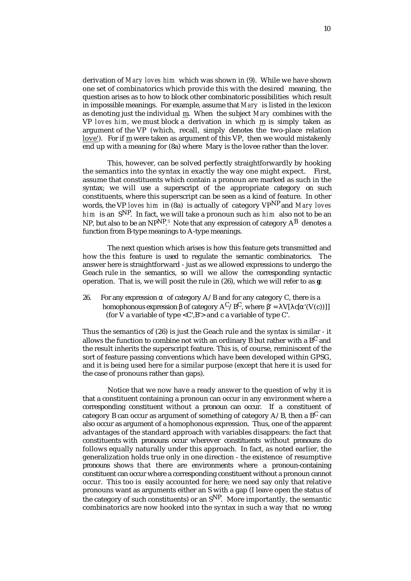derivation of *Mary loves him* which was shown in (9). While we have shown one set of combinatorics which provide this with the desired meaning, the question arises as to how to block other combinatoric possibilities which result in impossible meanings. For example, assume that *Mary* is listed in the lexicon as denoting just the individual m . When the subject *Mary* combines with the VP *loves him,* we must block a derivation in which m is simply taken as argument of the VP (which, recall, simply denotes the two-place relation love'). For if m were taken as argument of this VP, then we would mistakenly end up with a meaning for (8a) where Mary is the lovee rather than the lover.

This, however, can be solved perfectly straightforwardly by hooking the semantics into the syntax in exactly the way one might expect. First, assume that constituents which contain a pronoun are marked as such in the syntax; we will use a superscript of the appropriate category on such constituents, where this superscript can be seen as a kind of feature. In other words, the VP *loves him* in (8a) is actually of category VPNP and *Mary loves him* is an SNP. In fact, we will take a pronoun such as *him* also not to be an NP, but also to be an NP<sup>NP<sub>.5</sub> Note that any expression of category  $\rm A^B$  denotes a</sup> function from B-type meanings to A-type meanings.

The next question which arises is how this feature gets transmitted and how the this feature is used to regulate the semantic combinatorics. The answer here is straightforward - just as we allowed expressions to undergo the Geach rule in the semantics, so will we allow the corresponding syntactic operation. That is, we will posit the rule in (26), which we will refer to as **g**:

26. For any expression of category  $A/B$  and for any category C, there is a homophonous expression of category  $A^C/B^C$ , where '= V[ c[ '(V(c))]] (for V a variable of type  $\langle C', B' \rangle$  and c a variable of type C'.

Thus the semantics of (26) is just the Geach rule and the syntax is similar - it allows the function to combine not with an ordinary B but rather with a  $B^C$  and the result inherits the superscript feature. This is, of course, reminiscent of the sort of feature passing conventions which have been developed within GPSG, and it is being used here for a similar purpose (except that here it is used for the case of pronouns rather than gaps).

Notice that we now have a ready answer to the question of why it is that a constituent containing a pronoun can occur in any environment where a corresponding constituent without a pronoun can occur. If a constituent of category B can occur as argument of something of category  $A/B$ , then a BC can also occur as argument of a homophonous expression. Thus, one of the apparent advantages of the standard approach with variables disappears: the fact that constituents with pronouns occur wherever constituents without pronouns do follows equally naturally under this approach. In fact, as noted earlier, the generalization holds true only in one direction - the existence of resumptive pronouns shows that there are environments where a pronoun-containing constituent can occur where a corresponding constituent without a pronoun cannot occur. This too is easily accounted for here; we need say only that relative pronouns want as arguments either an S with a gap (I leave open the status of the category of such constituents) or an  $S^{NP}$ . More importantly, the semantic combinatorics are now hooked into the syntax in such a way that no wrong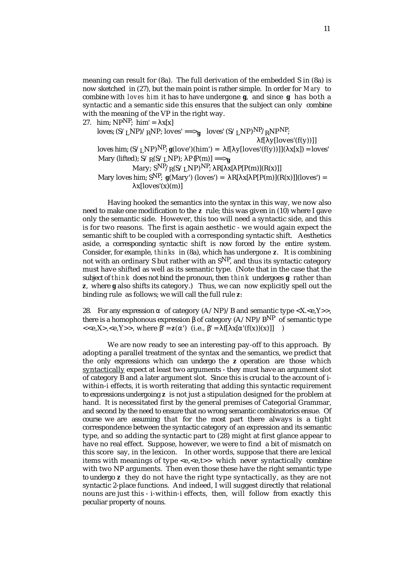meaning can result for (8a). The full derivation of the embedded S in (8a) is now sketched in (27), but the main point is rather simple. In order for *Mary* to combine with *loves him* it has to have undergone **g**, and since **g** has both a syntactic and a semantic side this ensures that the subject can only combine with the meaning of the VP in the right way.

27. him;  $NP^{\text{NP}}$ ; him' =  $x[x]$ 

loves;  $(S/LNP)/RNP$ ; loves' ==>**g** loves'  $(S/LNP)^{NP}/RNPNP$ ;

 $f[y|loves'(f(y))]$ loves him;  $(S/LNP)^NP$ ;  $g(\text{love})(\text{him'}) = f[y(\text{loves'}(f(y))]](x[x]) = \text{loves'}$ Mary (lifted);  $S/R(S/LNP)$ ;  $P{P(m)} = \rightarrow g$ Mary;  $S^{NP}/R(S/INP)^{NP}$ ; R[ x[ P[P(m)](R(x)]] Mary loves him;  $S^{NP}$ ;  $g(Mary')$  (loves') = R[ x[ P[P(m)](R(x)]](loves') =  $x[loves'(x)(m)]$ 

Having hooked the semantics into the syntax in this way, we now also need to make one modification to the *z* rule; this was given in (10) where I gave only the semantic side. However, this too will need a syntactic side, and this is for two reasons. The first is again aesthetic - we would again expect the semantic shift to be coupled with a corresponding syntactic shift. Aesthetics aside, a corresponding syntactic shift is now forced by the entire system. Consider, for example, *thinks* in (8a), which has undergone *z*. It is combining not with an ordinary S but rather with an  $S^{NP}$ , and thus its syntactic category must have shifted as well as its semantic type. (Note that in the case that the subject of *think* does not bind the pronoun, then *think* undergoes **g** rather than **z**, where **g** also shifts its category.) Thus, we can now explicitly spell out the binding rule as follows; we will call the full rule **z**:

28. For any expression of category  $(A/NP)/B$  and semantic type  $\langle X, \langle e, Y \rangle \rangle$ , there is a homophonous expression of category  $(A/NP)/B<sup>NP</sup>$  of semantic type  $<, >$ , where  $' = z(')$  (i.e.,  $' = f[x] (f(x))(x)$ ]] )

We are now ready to see an interesting pay-off to this approach. By adopting a parallel treatment of the syntax and the semantics, we predict that the only expressions which can undergo the **z** operation are those which syntactically expect at least two arguments - they must have an argument slot of category B and a later argument slot. Since this is crucial to the account of iwithin-i effects, it is worth reiterating that adding this syntactic requirement to expressions undergoing **z** is not just a stipulation designed for the problem at hand. It is necessitated first by the general premises of Categorial Grammar, and second by the need to ensure that no wrong semantic combinatorics ensue. Of course we are assuming that for the most part there always is a tight correspondence between the syntactic category of an expression and its semantic type, and so adding the syntactic part to (28) might at first glance appear to have no real effect. Suppose, however, we were to find a bit of mismatch on this score say, in the lexicon. In other words, suppose that there are lexical items with meanings of type <e,<e,t>> which never syntactically combine with two NP arguments. Then even those these have the right semantic type to undergo **z** they do not have the right type syntactically, as they are not syntactic 2-place functions. And indeed, I will suggest directly that relational nouns are just this - i-within-i effects, then, will follow from exactly this peculiar property of nouns.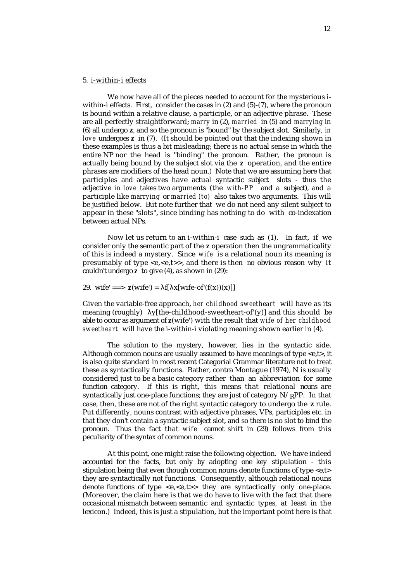## 5. i-within-i effects

We now have all of the pieces needed to account for the mysterious iwithin-i effects. First, consider the cases in (2) and (5)-(7), where the pronoun is bound within a relative clause, a participle, or an adjective phrase. These are all perfectly straightforward; *marry* in (2), *married* in (5) and *marrying* in (6) all undergo **z**, and so the pronoun is "bound" by the subject slot. Similarly, *in love* undergoes **z** in (7). (It should be pointed out that the indexing shown in these examples is thus a bit misleading; there is no actual sense in which the entire NP nor the head is "binding" the pronoun. Rather, the pronoun is actually being bound by the subject slot via the **z** operation, and the entire phrases are modifiers of the head noun.) Note that we are assuming here that participles and adjectives have actual syntactic subject slots - thus the adjective *in love* takes two arguments (the *with-PP* and a subject), and a participle like *marrying* or *married (to)* also takes two arguments. This will be justified below. But note further that we do not need any silent subject to appear in these "slots", since binding has nothing to do with co-indexation between actual NPs.

Now let us return to an i-within-i case such as (1). In fact, if we consider only the semantic part of the *z* operation then the ungrammaticality of this is indeed a mystery. Since *wife* is a relational noun its meaning is presumably of type  $\leq e, \leq e, t \geq 0$ , and there is then no obvious reason why it couldn't undergo *z* to give (4), as shown in (29):

29. wife' ==>  $z(wife') = f[x|wife-of'(f(x))(x)]$ 

Given the variable-free approach, *her childhood sweetheart* will have as its meaning (roughly) y[the-childhood-sweetheart-of'(y)] and this should be able to occur as argument of *z*(wife') with the result that *wife of her childhood sweetheart* will have the i-within-i violating meaning shown earlier in (4).

The solution to the mystery, however, lies in the syntactic side. Although common nouns are usually assumed to have meanings of type <e,t>, it is also quite standard in most recent Categorial Grammar literature not to treat these as syntactically functions. Rather, contra Montague (1974), N is usually considered just to be a basic category rather than an abbreviation for some function category. If this is right, this means that relational nouns are syntactically just one-place functions; they are just of category  $N / RPP$ . In that case, then, these are not of the right syntactic category to undergo the **z** rule. Put differently, nouns contrast with adjective phrases, VPs, participles etc. in that they don't contain a syntactic subject slot, and so there is no slot to bind the pronoun. Thus the fact that *wife* cannot shift in (29) follows from this peculiarity of the syntax of common nouns.

At this point, one might raise the following objection. We have indeed accounted for the facts, but only by adopting one key stipulation - this stipulation being that even though common nouns denote functions of type <e,t> they are syntactically not functions. Consequently, although relational nouns denote functions of type <e, <e, t>> they are syntactically only one-place. (Moreover, the claim here is that we do have to live with the fact that there occasional mismatch between semantic and syntactic types, at least in the lexicon.) Indeed, this is just a stipulation, but the important point here is that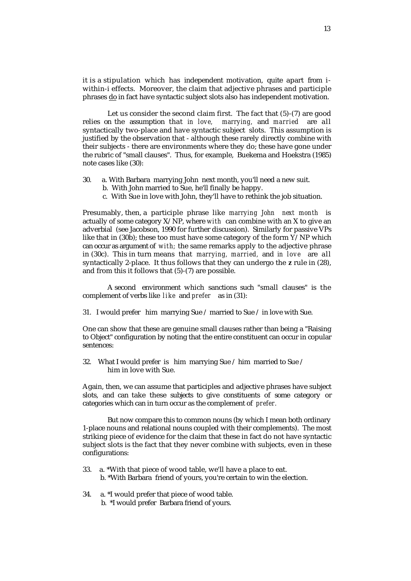it is a stipulation which has independent motivation, quite apart from iwithin-i effects. Moreover, the claim that adjective phrases and participle phrases doin fact have syntactic subject slots also has independent motivation.

Let us consider the second claim first. The fact that (5)-(7) are good relies on the assumption that *in love, marrying,* and *married* are all syntactically two-place and have syntactic subject slots. This assumption is justified by the observation that - although these rarely directly combine with their subjects - there are environments where they do; these have gone under the rubric of "small clauses". Thus, for example, Buekema and Hoekstra (1985) note cases like (30):

- 30. a. With Barbara marrying John next month, you'll need a new suit.
	- b. With John married to Sue, he'll finally be happy.
		- c. With Sue in love with John, they'll have to rethink the job situation.

Presumably, then, a participle phrase like *marrying John next month* is actually of some category X/NP, where *with* can combine with an X to give an adverbial (see Jacobson, 1990 for further discussion). Similarly for passive VPs like that in (30b); these too must have some category of the form Y/NP which can occur as argument of *with;* the same remarks apply to the adjective phrase in (30c). This in turn means that *marrying, married,* and *in love* are all syntactically 2-place. It thus follows that they can undergo the **z** rule in (28), and from this it follows that (5)-(7) are possible.

A second environment which sanctions such "small clauses" is the complement of verbs like *like* and *prefer* as in (31):

31. I would prefer him marrying Sue / married to Sue / in love with Sue.

One can show that these are genuine small clauses rather than being a "Raising to Object" configuration by noting that the entire constituent can occur in copular sentences:

32. What I would prefer is him marrying Sue / him married to Sue / him in love with Sue.

Again, then, we can assume that participles and adjective phrases have subject slots, and can take these subjects to give constituents of some category or categories which can in turn occur as the complement of *prefer.* 

But now compare this to common nouns (by which I mean both ordinary 1-place nouns and relational nouns coupled with their complements). The most striking piece of evidence for the claim that these in fact do not have syntactic subject slots is the fact that they never combine with subjects, even in these configurations:

- 33. a. \*With that piece of wood table, we'll have a place to eat. b. \*With Barbara friend of yours, you're certain to win the election.
- 34. a. \*I would prefer that piece of wood table. b. \*I would prefer Barbara friend of yours.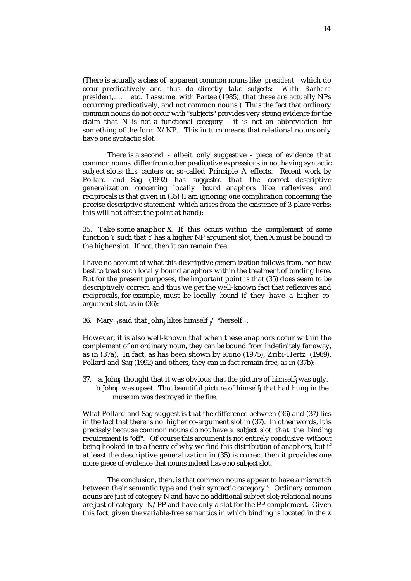(There is actually a class of apparent common nouns like *president* which do occur predicatively and thus do directly take subjects: *With Barbara president,....* etc. I assume, with Partee (1985), that these are actually NPs occurring predicatively, and not common nouns.) Thus the fact that ordinary common nouns do not occur with "subjects" provides very strong evidence for the claim that N is not a functional category - it is not an abbreviation for something of the form  $X/NP$ . This in turn means that relational nouns only have one syntactic slot.

There is a second - albeit only suggestive - piece of evidence that common nouns differ from other predicative expressions in not having syntactic subject slots; this centers on so-called Principle A effects. Recent work by Pollard and Sag (1992) has suggested that the correct descriptive generalization concerning locally bound anaphors like reflexives and reciprocals is that given in (35) (I am ignoring one complication concerning the precise descriptive statement which arises from the existence of 3-place verbs; this will not affect the point at hand):

35. Take some anaphor X. If this occurs within the complement of some function Y such that Y has a higher NP argument slot, then X must be bound to the higher slot. If not, then it can remain free.

I have no account of what this descriptive generalization follows from, nor how best to treat such locally bound anaphors within the treatment of binding here. But for the present purposes, the important point is that (35) does seem to be descriptively correct, and thus we get the well-known fact that reflexives and reciprocals, for example, must be locally bound if they have a higher coargument slot, as in (36):

36.  $\,$  Mary $_{\rm m}$ said that John $_{\rm j}$  likes himself  $_{\rm j}$ / \*herself $_{\rm m}$ 

However, it is also well-known that when these anaphors occur within the complement of an ordinary noun, they can be bound from indefinitely far away, as in (37a). In fact, as has been shown by Kuno (1975), Zribi-Hertz (1989), Pollard and Sag (1992) and others, they can in fact remain free, as in (37b):

37. a. John<sub>j</sub> thought that it was obvious that the picture of himself<sub>j</sub> was ugly. b. John $_{\rm i}$  was upset. That beautiful picture of himself $_{\rm i}$  that had hung in the museum was destroyed in the fire.

What Pollard and Sag suggest is that the difference between (36) and (37) lies in the fact that there is no higher co-argument slot in (37). In other words, it is precisely because common nouns do not have a subject slot that the binding requirement is "off". Of course this argument is not entirely conclusive without being hooked in to a theory of why we find this distribution of anaphors, but if at least the descriptive generalization in (35) is correct then it provides one more piece of evidence that nouns indeed have no subject slot.

The conclusion, then, is that common nouns appear to have a mismatch between their semantic type and their syntactic category. $^{\rm 6}$  Ordinary common nouns are just of category N and have no additional subject slot; relational nouns are just of category N/PP and have only a slot for the PP complement. Given this fact, given the variable-free semantics in which binding is located in the *z*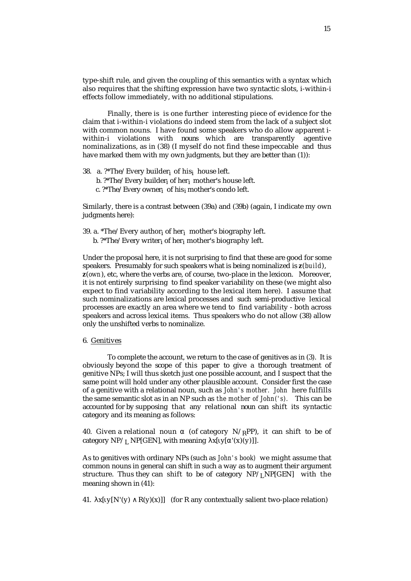type-shift rule, and given the coupling of this semantics with a syntax which also requires that the shifting expression have two syntactic slots, i-within-i effects follow immediately, with no additional stipulations.

Finally, there is is one further interesting piece of evidence for the claim that i-within-i violations do indeed stem from the lack of a subject slot with common nouns. I have found some speakers who do allow apparent iwithin-i violations with nouns which are transparently agentive nominalizations, as in (38) (I myself do not find these impeccable and thus have marked them with my own judgments, but they are better than (1)):

38. a. ?\*The/Every builder<sub>i</sub> of his<sub>i</sub> house left.

- b. ?\*The/Every builder<sub>i</sub> of her<sub>i</sub> mother's house left.
- c. ?\*The/Every owner<sub>i</sub> of his<sub>i</sub> mother's condo left.

Similarly, there is a contrast between (39a) and (39b) (again, I indicate my own judgments here):

39. a. \*The/Every author<sub>i</sub> of her<sub>i</sub> mother's biography left.

b. ?\*The/Every writer<sub>i</sub> of her<sub>i</sub> mother's biography left.

Under the proposal here, it is not surprising to find that these are good for some speakers. Presumably for such speakers what is being nominalized is **z**(*build*), **z**(*own*), etc, where the verbs are, of course, two-place in the lexicon. Moreover, it is not entirely surprising to find speaker variability on these (we might also expect to find variability according to the lexical item here). I assume that such nominalizations are lexical processes and such semi-productive lexical processes are exactly an area where we tend to find variability - both across speakers and across lexical items. Thus speakers who do not allow (38) allow only the unshifted verbs to nominalize.

6. Genitives

To complete the account, we return to the case of genitives as in (3). It is obviously beyond the scope of this paper to give a thorough treatment of genitive NPs; I will thus sketch just one possible account, and I suspect that the same point will hold under any other plausible account. Consider first the case of a genitive with a relational noun, such as *John's mother. John* here fulfills the same semantic slot as in an NP such as *the mother of John('s).* This can be accounted for by supposing that any relational noun can shift its syntactic category and its meaning as follows:

40. Given a relational noun (of category  $N /_R PP$ ), it can shift to be of category  $NP/L NP[GEN]$ , with meaning x[ y[ '(x)(y)]].

As to genitives with ordinary NPs (such as *John's book)* we might assume that common nouns in general can shift in such a way as to augment their argument structure. Thus they can shift to be of category  $NP/I_NPI(GEN)$  with the meaning shown in (41):

41. x[  $y[N'(y) \ R(y)(x)]$ ] (for R any contextually salient two-place relation)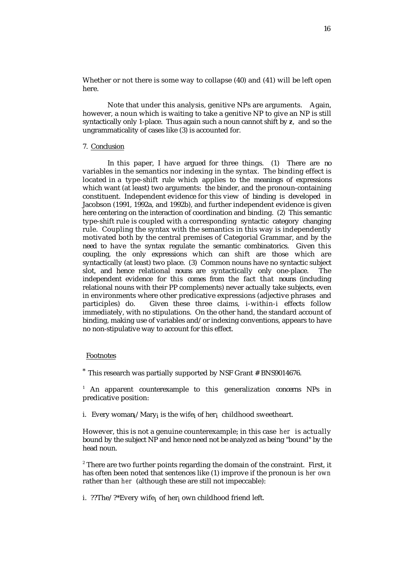Whether or not there is some way to collapse (40) and (41) will be left open here.

Note that under this analysis, genitive NPs are arguments. Again, however, a noun which is waiting to take a genitive NP to give an NP is still syntactically only 1-place. Thus again such a noun cannot shift by **z**, and so the ungrammaticality of cases like (3) is accounted for.

## 7. Conclusion

In this paper, I have argued for three things. (1) There are no variables in the semantics nor indexing in the syntax. The binding effect is located in a type-shift rule which applies to the meanings of expressions which want (at least) two arguments: the binder, and the pronoun-containing constituent. Independent evidence for this view of binding is developed in Jacobson (1991, 1992a, and 1992b), and further independent evidence is given here centering on the interaction of coordination and binding. (2) This semantic type-shift rule is coupled with a corresponding syntactic category changing rule. Coupling the syntax with the semantics in this way is independently motivated both by the central premises of Categorial Grammar, and by the need to have the syntax regulate the semantic combinatorics. Given this coupling, the only expressions which can shift are those which are syntactically (at least) two place. (3) Common nouns have no syntactic subject slot, and hence relational nouns are syntactically only one-place. The independent evidence for this comes from the fact that nouns (including relational nouns with their PP complements) never actually take subjects, even in environments where other predicative expressions (adjective phrases and participles) do. Given these three claims, i-within-i effects follow immediately, with no stipulations. On the other hand, the standard account of binding, making use of variables and/or indexing conventions, appears to have no non-stipulative way to account for this effect.

# Footnotes

\* This research was partially supported by NSF Grant # BNS9014676.

 $1$  An apparent counterexample to this generalization concerns NPs in predicative position:

i. Every woman<sub>i</sub>/Mary<sub>i</sub> is the wife<sub>i</sub> of her<sub>i</sub> childhood sweetheart.

However, this is not a genuine counterexample; in this case *her* is actually bound by the subject NP and hence need not be analyzed as being "bound" by the head noun.

 $^{\rm z}$  There are two further points regarding the domain of the constraint. First, it has often been noted that sentences like (1) improve if the pronoun is *her own* rather than *her* (although these are still not impeccable):

i. ??The/?\*Every wife<sub>i</sub> of her<sub>i</sub> own childhood friend left.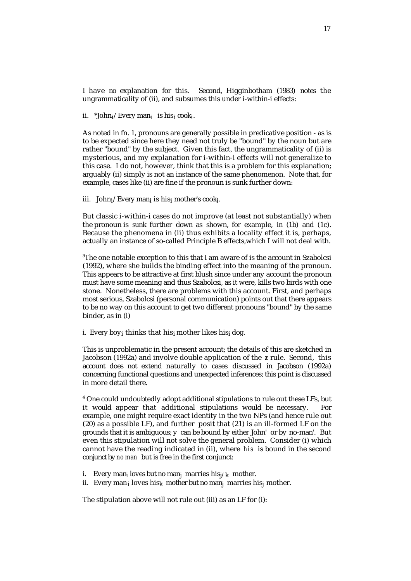I have no explanation for this. Second, Higginbotham (1983) notes the ungrammaticality of (ii), and subsumes this under i-within-i effects:

ii. \*John<sub>i</sub>/Every man<sub>i</sub> is his<sub>i</sub> cook<sub>i</sub>.

As noted in fn. 1, pronouns are generally possible in predicative position - as is to be expected since here they need not truly be "bound" by the noun but are rather "bound" by the subject. Given this fact, the ungrammaticality of (ii) is mysterious, and my explanation for i-within-i effects will not generalize to this case. I do not, however, think that this is a problem for this explanation; arguably (ii) simply is not an instance of the same phenomenon. Note that, for example, cases like (ii) are fine if the pronoun is sunk further down:

iii. John<sub>i</sub>/Every man<sub>i</sub> is his<sub>i</sub> mother's cook<sub>i</sub>.

But classic i-within-i cases do not improve (at least not substantially) when the pronoun is sunk further down as shown, for example, in (1b) and (1c). Because the phenomena in (ii) thus exhibits a locality effect it is, perhaps, actually an instance of so-called Principle B effects,which I will not deal with.

<sup>3</sup>The one notable exception to this that I am aware of is the account in Szabolcsi (1992), where she builds the binding effect into the meaning of the pronoun. This appears to be attractive at first blush since under any account the pronoun must have some meaning and thus Szabolcsi, as it were, kills two birds with one stone. Nonetheless, there are problems with this account. First, and perhaps most serious, Szabolcsi (personal communication) points out that there appears to be no way on this account to get two different pronouns "bound" by the same binder, as in (i)

i. Every boy<sub>i</sub> thinks that his<sub>i</sub> mother likes his<sub>i</sub> dog.

This is unproblematic in the present account; the details of this are sketched in Jacobson (1992a) and involve double application of the *z* rule. Second, this account does not extend naturally to cases discussed in Jacobson (1992a) concerning functional questions and unexpected inferences; this point is discussed in more detail there.

4 One could undoubtedly adopt additional stipulations to rule out these LFs, but it would appear that additional stipulations would be necessary. For example, one might require exact identity in the two NPs (and hence rule out (20) as a possible LF), and further posit that (21) is an ill-formed LF on the grounds that it is ambiguous; y can be bound by either John' or by no-man'. But even this stipulation will not solve the general problem. Consider (i) which cannot have the reading indicated in (ii), where *his* is bound in the second conjunct by *no man* but is free in the first conjunct:

- i. Every man<sub>i</sub> loves but no man<sub>j</sub> marries his<sub>j/k</sub> mother.
- ii. Every man<sub>i</sub> loves his<sub>k</sub> mother but no man<sub>j</sub> marries his<sub>j</sub> mother.

The stipulation above will not rule out (iii) as an LF for (i):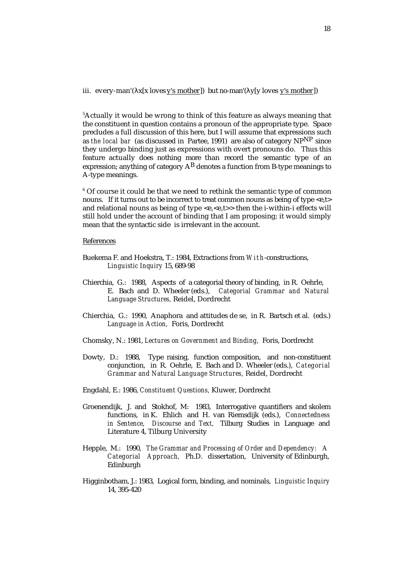iii. every-man'( $x[x]$  loves y's mother) but no-man'( $y[y]$  loves y's mother)

<sup>5</sup>Actually it would be wrong to think of this feature as always meaning that the constituent in question contains a pronoun of the appropriate type. Space precludes a full discussion of this here, but I will assume that expressions such as *the local bar* (as discussed in Partee, 1991) are also of category NPNP since they undergo binding just as expressions with overt pronouns do. Thus this feature actually does nothing more than record the semantic type of an expression; anything of category  $A^B$  denotes a function from B-type meanings to A-type meanings.

 $^{\rm 6}$  Of course it could be that we need to rethink the semantic type of common nouns. If it turns out to be incorrect to treat common nouns as being of type <e,t> and relational nouns as being of type  $\langle e, \langle e, t \rangle$  then the i-within-i effects will still hold under the account of binding that I am proposing; it would simply mean that the syntactic side is irrelevant in the account.

## References

- Buekema F. and Hoekstra, T.: 1984, Extractions from *With* -constructions, *Linguistic Inquiry* 15, 689-98
- Chierchia, G.: 1988, Aspects of a categorial theory of binding, in R. Oehrle, E. Bach and D. Wheeler (eds.), *Categorial Grammar and Natural Language Structures,* Reidel, Dordrecht
- Chierchia, G.: 1990, Anaphora and attitudes de se, in R. Bartsch et al. (eds.) *Language in Action,* Foris, Dordrecht
- Chomsky, N.: 1981, *Lectures on Government and Binding,* Foris, Dordrecht
- Dowty, D.: 1988, Type raising, function composition, and non-constituent conjunction, in R. Oehrle, E. Bach and D. Wheeler (eds.), *Categorial Grammar and Natural Language Structures,* Reidel, Dordrecht
- Engdahl, E.: 1986, *Constituent Questions,* Kluwer, Dordrecht
- Groenendijk, J. and Stokhof, M: 1983, Interrogative quantifiers and skolem functions, in K. Ehlich and H. van Riemsdijk (eds.), *Connectedness in Sentence, Discourse and Text,* Tilburg Studies in Language and Literature 4, Tilburg University
- Hepple, M.: 1990, *The Grammar and Processing of Order and Dependency: A Categorial Approach,* Ph.D. dissertation, University of Edinburgh, Edinburgh
- Higginbotham, J.: 1983, Logical form, binding, and nominals, *Linguistic Inquiry* 14, 395-420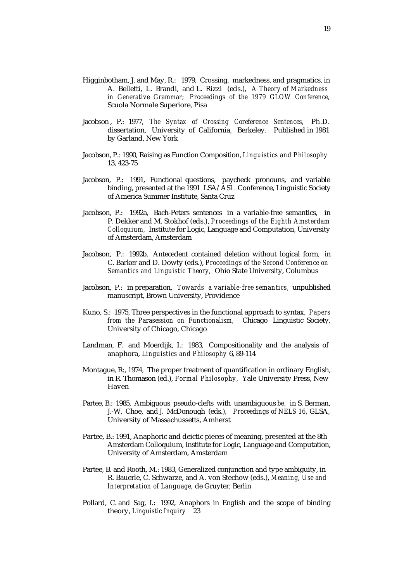- Higginbotham, J. and May, R.: 1979, Crossing, markedness, and pragmatics, in A. Belletti, L. Brandi, and L. Rizzi (eds.), *A Theory of Markedness in Generative Grammar; Proceedings of the 1979 GLOW Conference,* Scuola Normale Superiore, Pisa
- Jacobson , P.: 1977, *The Syntax of Crossing Coreference Sentences,* Ph.D. dissertation, University of California, Berkeley. Published in 1981 by Garland, New York
- Jacobson, P.: 1990, Raising as Function Composition, *Linguistics and Philosophy*  13, 423-75
- Jacobson, P.: 1991, Functional questions, paycheck pronouns, and variable binding, presented at the 1991 LSA/ASL Conference, Linguistic Society of America Summer Institute, Santa Cruz
- Jacobson, P.: 1992a, Bach-Peters sentences in a variable-free semantics, in P. Dekker and M. Stokhof (eds.), *Proceedings of the Eighth Amsterdam Colloquium,* Institute for Logic, Language and Computation, University of Amsterdam, Amsterdam
- Jacobson, P.: 1992b, Antecedent contained deletion without logical form, in C. Barker and D. Dowty (eds.), *Proceedings of the Second Conference on Semantics and Linguistic Theory,* Ohio State University, Columbus
- Jacobson, P.: in preparation, *Towards a variable-free semantics,* unpublished manuscript, Brown University, Providence
- Kuno, S.: 1975, Three perspectives in the functional approach to syntax, *Papers from the Parasession on Functionalism,* Chicago Linguistic Society, University of Chicago, Chicago
- Landman, F. and Moerdijk, I.: 1983, Compositionality and the analysis of anaphora, *Linguistics and Philosophy* 6, 89-114
- Montague, R:, 1974, The proper treatment of quantification in ordinary English, in R. Thomason (ed.), *Formal Philosophy,* Yale University Press, New Haven
- Partee, B.: 1985, Ambiguous pseudo-clefts with unambiguous *be,* in S. Berman, J.-W. Choe, and J. McDonough (eds.), *Proceedings of NELS 16,* GLSA, University of Massachussetts, Amherst
- Partee, B.: 1991, Anaphoric and deictic pieces of meaning, presented at the 8th Amsterdam Colloquium, Institute for Logic, Language and Computation, University of Amsterdam, Amsterdam
- Partee, B. and Rooth, M.: 1983, Generalized conjunction and type ambiguity, in R. Bauerle, C. Schwarze, and A. von Stechow (eds.), *Meaning, Use and Interpretation of Language,* de Gruyter, Berlin
- Pollard, C. and Sag, I.: 1992, Anaphors in English and the scope of binding theory, *Linguistic Inquiry* 23